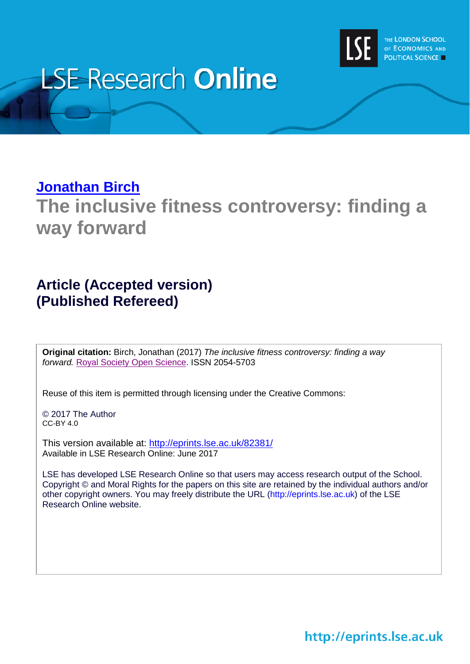

# **LSE Research Online**

## **[Jonathan Birch](http://www.lse.ac.uk/researchAndExpertise/Experts/profile.aspx?KeyValue=j.birch2@lse.ac.uk) The inclusive fitness controversy: finding a way forward**

## **Article (Accepted version) (Published Refereed)**

**Original citation:** Birch, Jonathan (2017) *The inclusive fitness controversy: finding a way forward.* [Royal Society Open Science.](http://rsos.royalsocietypublishing.org/) ISSN 2054-5703

Reuse of this item is permitted through licensing under the Creative Commons:

© 2017 The Author CC-BY 4.0

This version available at: <http://eprints.lse.ac.uk/82381/> Available in LSE Research Online: June 2017

LSE has developed LSE Research Online so that users may access research output of the School. Copyright © and Moral Rights for the papers on this site are retained by the individual authors and/or other copyright owners. You may freely distribute the URL (http://eprints.lse.ac.uk) of the LSE Research Online website.

http://eprints.lse.ac.uk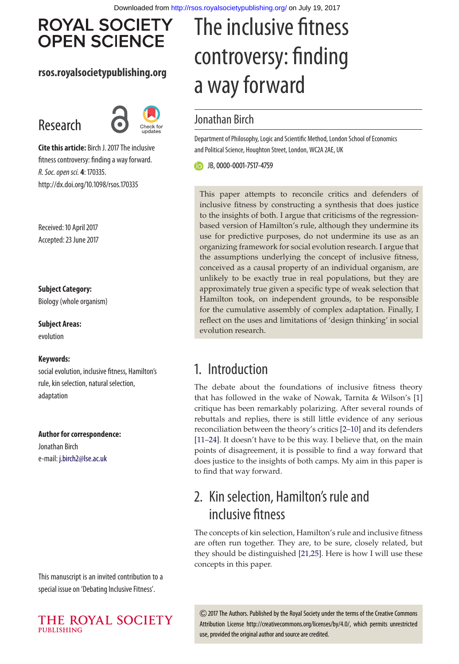## **ROYAL SOCIETY OPEN SCIENCE**

#### **rsos.royalsocietypublishing.org**

## Research



**Cite this article:** Birch J. 2017 The inclusive fitness controversy: finding a way forward. R. Soc. open sci. **4**: 170335. http://dx.doi.org/10.1098/rsos.170335

Received: 10 April 2017 Accepted: 23 June 2017

#### **Subject Category:**

Biology (whole organism)

**Subject Areas:** evolution

#### **Keywords:**

social evolution, inclusive fitness, Hamilton's rule, kin selection, natural selection, adaptation

#### **Author for correspondence:**

Jonathan Birch e-mail: [j.birch2@lse.ac.uk](mailto:j.birch2@lse.ac.uk)

This manuscript is an invited contribution to a special issue on 'Debating Inclusive Fitness'.



## The inclusive fitness controversy: finding a way forward

#### Jonathan Birch

Department of Philosophy, Logic and Scientific Method, London School of Economics and Political Science, Houghton Street, London, WC2A 2AE, UK

JB,[0000-0001-7517-4759](http://orcid.org/0000-0001-7517-4759)

This paper attempts to reconcile critics and defenders of inclusive fitness by constructing a synthesis that does justice to the insights of both. I argue that criticisms of the regressionbased version of Hamilton's rule, although they undermine its use for predictive purposes, do not undermine its use as an organizing framework for social evolution research. I argue that the assumptions underlying the concept of inclusive fitness, conceived as a causal property of an individual organism, are unlikely to be exactly true in real populations, but they are approximately true given a specific type of weak selection that Hamilton took, on independent grounds, to be responsible for the cumulative assembly of complex adaptation. Finally, I reflect on the uses and limitations of 'design thinking' in social evolution research.

## 1. Introduction

The debate about the foundations of inclusive fitness theory that has followed in the wake of Nowak, Tarnita & Wilson's [\[1\]](#page-11-0) critique has been remarkably polarizing. After several rounds of rebuttals and replies, there is still little evidence of any serious reconciliation between the theory's critics [\[2–](#page-11-1)[10\]](#page-11-2) and its defenders [\[11–](#page-11-3)[24\]](#page-11-4). It doesn't have to be this way. I believe that, on the main points of disagreement, it is possible to find a way forward that does justice to the insights of both camps. My aim in this paper is to find that way forward.

## 2. Kin selection, Hamilton's rule and inclusive fitness

The concepts of kin selection, Hamilton's rule and inclusive fitness are often run together. They are, to be sure, closely related, but they should be distinguished [\[21](#page-11-5)[,25\]](#page-11-6). Here is how I will use these concepts in this paper.

2017 The Authors. Published by the Royal Society under the terms of the Creative Commons Attribution License http://creativecommons.org/licenses/by/4.0/, which permits unrestricted use, provided the original author and source are credited.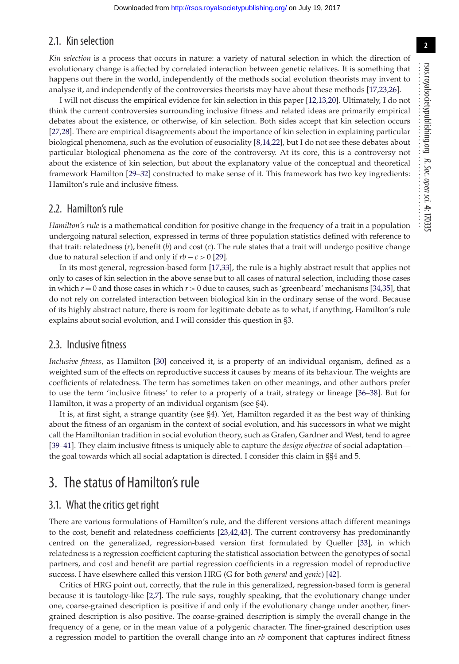#### 2.1. Kin selection

*Kin selection* is a process that occurs in nature: a variety of natural selection in which the direction of evolutionary change is affected by correlated interaction between genetic relatives. It is something that happens out there in the world, independently of the methods social evolution theorists may invent to analyse it, and independently of the controversies theorists may have about these methods [\[17](#page-11-7)[,23](#page-11-8)[,26\]](#page-11-9).

I will not discuss the empirical evidence for kin selection in this paper [\[12,](#page-11-10)[13](#page-11-11)[,20\]](#page-11-12). Ultimately, I do not think the current controversies surrounding inclusive fitness and related ideas are primarily empirical debates about the existence, or otherwise, of kin selection. Both sides accept that kin selection occurs [\[27,](#page-11-13)[28\]](#page-11-14). There are empirical disagreements about the importance of kin selection in explaining particular biological phenomena, such as the evolution of eusociality [\[8](#page-11-15)[,14,](#page-11-16)[22\]](#page-11-17), but I do not see these debates about particular biological phenomena as the core of the controversy. At its core, this is a controversy not about the existence of kin selection, but about the explanatory value of the conceptual and theoretical framework Hamilton [\[29–](#page-11-18)[32\]](#page-11-19) constructed to make sense of it. This framework has two key ingredients: Hamilton's rule and inclusive fitness.

#### 2.2. Hamilton's rule

*Hamilton's rule* is a mathematical condition for positive change in the frequency of a trait in a population undergoing natural selection, expressed in terms of three population statistics defined with reference to that trait: relatedness (*r*), benefit (*b*) and cost (*c*). The rule states that a trait will undergo positive change due to natural selection if and only if  $rb - c > 0$  [\[29\]](#page-11-18).

In its most general, regression-based form [\[17,](#page-11-7)[33\]](#page-11-20), the rule is a highly abstract result that applies not only to cases of kin selection in the above sense but to all cases of natural selection, including those cases in which *r* = 0 and those cases in which *r* > 0 due to causes, such as 'greenbeard' mechanisms [\[34](#page-12-0)[,35\]](#page-12-1), that do not rely on correlated interaction between biological kin in the ordinary sense of the word. Because of its highly abstract nature, there is room for legitimate debate as to what, if anything, Hamilton's rule explains about social evolution, and I will consider this question in §3.

#### 2.3. Inclusive fitness

*Inclusive fitness*, as Hamilton [\[30\]](#page-11-21) conceived it, is a property of an individual organism, defined as a weighted sum of the effects on reproductive success it causes by means of its behaviour. The weights are coefficients of relatedness. The term has sometimes taken on other meanings, and other authors prefer to use the term 'inclusive fitness' to refer to a property of a trait, strategy or lineage [\[36](#page-12-2)[–38\]](#page-12-3). But for Hamilton, it was a property of an individual organism (see §4).

It is, at first sight, a strange quantity (see §4). Yet, Hamilton regarded it as the best way of thinking about the fitness of an organism in the context of social evolution, and his successors in what we might call the Hamiltonian tradition in social evolution theory, such as Grafen, Gardner and West, tend to agree [\[39](#page-12-4)[–41\]](#page-12-5). They claim inclusive fitness is uniquely able to capture the *design objective* of social adaptation the goal towards which all social adaptation is directed. I consider this claim in §§4 and 5.

### 3. The status of Hamilton's rule

#### 3.1. What the critics get right

There are various formulations of Hamilton's rule, and the different versions attach different meanings to the cost, benefit and relatedness coefficients [\[23](#page-11-8)[,42,](#page-12-6)[43\]](#page-12-7). The current controversy has predominantly centred on the generalized, regression-based version first formulated by Queller [\[33\]](#page-11-20), in which relatedness is a regression coefficient capturing the statistical association between the genotypes of social partners, and cost and benefit are partial regression coefficients in a regression model of reproductive success. I have elsewhere called this version HRG (G for both *general* and *genic*) [\[42\]](#page-12-6).

Critics of HRG point out, correctly, that the rule in this generalized, regression-based form is general because it is tautology-like [\[2](#page-11-1)[,7\]](#page-11-22). The rule says, roughly speaking, that the evolutionary change under one, coarse-grained description is positive if and only if the evolutionary change under another, finergrained description is also positive. The coarse-grained description is simply the overall change in the frequency of a gene, or in the mean value of a polygenic character. The finer-grained description uses a regression model to partition the overall change into an *rb* component that captures indirect fitness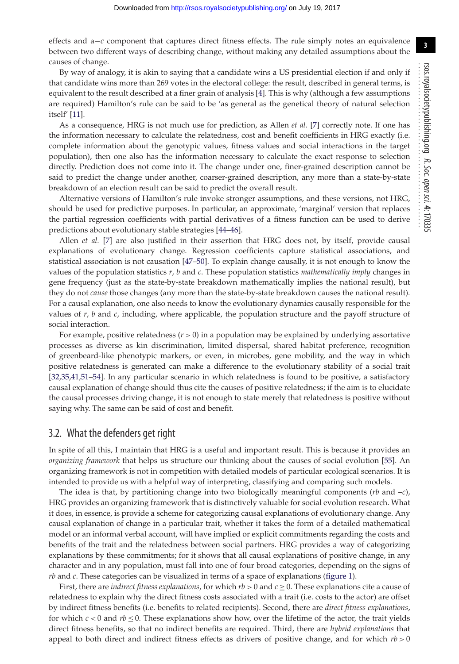**3**

effects and a−*c* component that captures direct fitness effects. The rule simply notes an equivalence between two different ways of describing change, without making any detailed assumptions about the causes of change.

By way of analogy, it is akin to saying that a candidate wins a US presidential election if and only if that candidate wins more than 269 votes in the electoral college: the result, described in general terms, is equivalent to the result described at a finer grain of analysis [\[4\]](#page-11-23). This is why (although a few assumptions are required) Hamilton's rule can be said to be 'as general as the genetical theory of natural selection itself' [\[11\]](#page-11-3).

As a consequence, HRG is not much use for prediction, as Allen *et al.* [\[7\]](#page-11-22) correctly note. If one has the information necessary to calculate the relatedness, cost and benefit coefficients in HRG exactly (i.e. complete information about the genotypic values, fitness values and social interactions in the target population), then one also has the information necessary to calculate the exact response to selection directly. Prediction does not come into it. The change under one, finer-grained description cannot be said to predict the change under another, coarser-grained description, any more than a state-by-state breakdown of an election result can be said to predict the overall result.

Alternative versions of Hamilton's rule invoke stronger assumptions, and these versions, not HRG, should be used for predictive purposes. In particular, an approximate, 'marginal' version that replaces the partial regression coefficients with partial derivatives of a fitness function can be used to derive predictions about evolutionary stable strategies [\[44–](#page-12-8)[46\]](#page-12-9).

Allen *et al.* [\[7\]](#page-11-22) are also justified in their assertion that HRG does not, by itself, provide causal explanations of evolutionary change. Regression coefficients capture statistical associations, and statistical association is not causation [\[47](#page-12-10)[–50\]](#page-12-11). To explain change causally, it is not enough to know the values of the population statistics *r*, *b* and *c*. These population statistics *mathematically imply* changes in gene frequency (just as the state-by-state breakdown mathematically implies the national result), but they do not *cause* those changes (any more than the state-by-state breakdown causes the national result). For a causal explanation, one also needs to know the evolutionary dynamics causally responsible for the values of *r*, *b* and *c*, including, where applicable, the population structure and the payoff structure of social interaction.

For example, positive relatedness  $(r > 0)$  in a population may be explained by underlying assortative processes as diverse as kin discrimination, limited dispersal, shared habitat preference, recognition of greenbeard-like phenotypic markers, or even, in microbes, gene mobility, and the way in which positive relatedness is generated can make a difference to the evolutionary stability of a social trait [\[32](#page-11-19)[,35,](#page-12-1)[41](#page-12-5)[,51–](#page-12-12)[54\]](#page-12-13). In any particular scenario in which relatedness is found to be positive, a satisfactory causal explanation of change should thus cite the causes of positive relatedness; if the aim is to elucidate the causal processes driving change, it is not enough to state merely that relatedness is positive without saying why. The same can be said of cost and benefit.

#### 3.2. What the defenders get right

In spite of all this, I maintain that HRG is a useful and important result. This is because it provides an *organizing framework* that helps us structure our thinking about the causes of social evolution [\[55\]](#page-12-14). An organizing framework is not in competition with detailed models of particular ecological scenarios. It is intended to provide us with a helpful way of interpreting, classifying and comparing such models.

The idea is that, by partitioning change into two biologically meaningful components (*rb* and –*c*), HRG provides an organizing framework that is distinctively valuable for social evolution research. What it does, in essence, is provide a scheme for categorizing causal explanations of evolutionary change. Any causal explanation of change in a particular trait, whether it takes the form of a detailed mathematical model or an informal verbal account, will have implied or explicit commitments regarding the costs and benefits of the trait and the relatedness between social partners. HRG provides a way of categorizing explanations by these commitments; for it shows that all causal explanations of positive change, in any character and in any population, must fall into one of four broad categories, depending on the signs of *rb* and *c*. These categories can be visualized in terms of a space of explanations [\(figure 1\)](#page-4-0).

First, there are *indirect fitness explanations*, for which *rb* > 0 and *c* ≥ 0. These explanations cite a cause of relatedness to explain why the direct fitness costs associated with a trait (i.e. costs to the actor) are offset by indirect fitness benefits (i.e. benefits to related recipients). Second, there are *direct fitness explanations*, for which  $c < 0$  and  $rb \le 0$ . These explanations show how, over the lifetime of the actor, the trait yields direct fitness benefits, so that no indirect benefits are required. Third, there are *hybrid explanations* that appeal to both direct and indirect fitness effects as drivers of positive change, and for which  $rb > 0$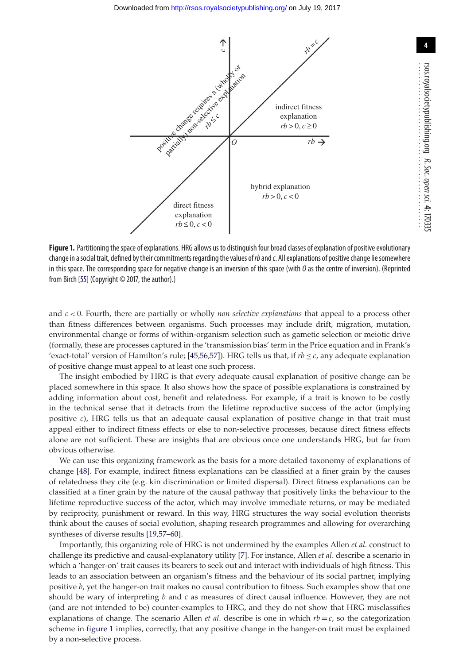<span id="page-4-0"></span>

**Figure 1.** Partitioning the space of explanations. HRG allows us to distinguish four broad classes of explanation of positive evolutionary change in a social trait, defined by their commitments regarding the values of rb and c. All explanations of positive change lie somewhere in this space. The corresponding space for negative change is an inversion of this space (with  $0$  as the centre of inversion). (Reprinted from Birch [\[55\]](#page-12-14) (Copyright © 2017, the author).)

and *c* < 0. Fourth, there are partially or wholly *non-selective explanations* that appeal to a process other than fitness differences between organisms. Such processes may include drift, migration, mutation, environmental change or forms of within-organism selection such as gametic selection or meiotic drive (formally, these are processes captured in the 'transmission bias' term in the Price equation and in Frank's 'exact-total' version of Hamilton's rule; [\[45](#page-12-15)[,56](#page-12-16)[,57\]](#page-12-17)). HRG tells us that, if  $rb \leq c$ , any adequate explanation of positive change must appeal to at least one such process.

The insight embodied by HRG is that every adequate causal explanation of positive change can be placed somewhere in this space. It also shows how the space of possible explanations is constrained by adding information about cost, benefit and relatedness. For example, if a trait is known to be costly in the technical sense that it detracts from the lifetime reproductive success of the actor (implying positive *c*), HRG tells us that an adequate causal explanation of positive change in that trait must appeal either to indirect fitness effects or else to non-selective processes, because direct fitness effects alone are not sufficient. These are insights that are obvious once one understands HRG, but far from obvious otherwise.

We can use this organizing framework as the basis for a more detailed taxonomy of explanations of change [\[48\]](#page-12-18). For example, indirect fitness explanations can be classified at a finer grain by the causes of relatedness they cite (e.g. kin discrimination or limited dispersal). Direct fitness explanations can be classified at a finer grain by the nature of the causal pathway that positively links the behaviour to the lifetime reproductive success of the actor, which may involve immediate returns, or may be mediated by reciprocity, punishment or reward. In this way, HRG structures the way social evolution theorists think about the causes of social evolution, shaping research programmes and allowing for overarching syntheses of diverse results [\[19,](#page-11-24)[57](#page-12-17)[–60\]](#page-12-19).

Importantly, this organizing role of HRG is not undermined by the examples Allen *et al*. construct to challenge its predictive and causal-explanatory utility [\[7\]](#page-11-22). For instance, Allen *et al*. describe a scenario in which a 'hanger-on' trait causes its bearers to seek out and interact with individuals of high fitness. This leads to an association between an organism's fitness and the behaviour of its social partner, implying positive *b*, yet the hanger-on trait makes no causal contribution to fitness. Such examples show that one should be wary of interpreting *b* and *c* as measures of direct causal influence. However, they are not (and are not intended to be) counter-examples to HRG, and they do not show that HRG misclassifies explanations of change. The scenario Allen *et al.* describe is one in which  $rb = c$ , so the categorization scheme in [figure 1](#page-4-0) implies, correctly, that any positive change in the hanger-on trait must be explained by a non-selective process.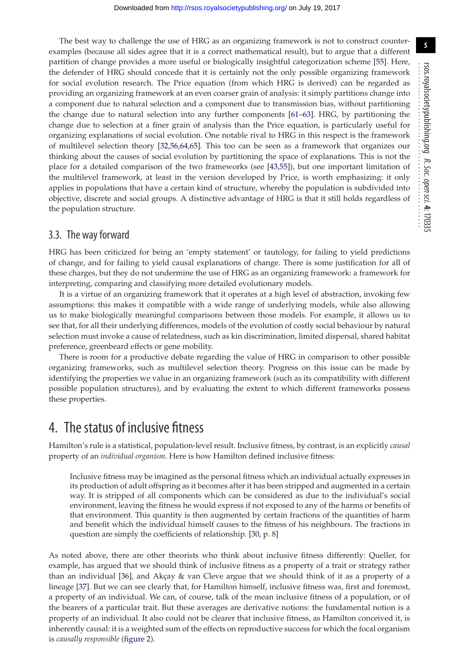The best way to challenge the use of HRG as an organizing framework is not to construct counterexamples (because all sides agree that it is a correct mathematical result), but to argue that a different partition of change provides a more useful or biologically insightful categorization scheme [\[55\]](#page-12-14). Here, the defender of HRG should concede that it is certainly not the only possible organizing framework for social evolution research. The Price equation (from which HRG is derived) can be regarded as providing an organizing framework at an even coarser grain of analysis: it simply partitions change into a component due to natural selection and a component due to transmission bias, without partitioning the change due to natural selection into any further components [\[61–](#page-12-20)[63\]](#page-12-21). HRG, by partitioning the change due to selection at a finer grain of analysis than the Price equation, is particularly useful for organizing explanations of social evolution. One notable rival to HRG in this respect is the framework of multilevel selection theory [\[32,](#page-11-19)[56,](#page-12-16)[64,](#page-12-22)[65\]](#page-12-23). This too can be seen as a framework that organizes our thinking about the causes of social evolution by partitioning the space of explanations. This is not the place for a detailed comparison of the two frameworks (see [\[43](#page-12-7)[,55\]](#page-12-14)), but one important limitation of the multilevel framework, at least in the version developed by Price, is worth emphasizing: it only applies in populations that have a certain kind of structure, whereby the population is subdivided into objective, discrete and social groups. A distinctive advantage of HRG is that it still holds regardless of the population structure.

#### 3.3. The way forward

HRG has been criticized for being an 'empty statement' or tautology, for failing to yield predictions of change, and for failing to yield causal explanations of change. There is some justification for all of these charges, but they do not undermine the use of HRG as an organizing framework: a framework for interpreting, comparing and classifying more detailed evolutionary models.

It is a virtue of an organizing framework that it operates at a high level of abstraction, invoking few assumptions: this makes it compatible with a wide range of underlying models, while also allowing us to make biologically meaningful comparisons between those models. For example, it allows us to see that, for all their underlying differences, models of the evolution of costly social behaviour by natural selection must invoke a cause of relatedness, such as kin discrimination, limited dispersal, shared habitat preference, greenbeard effects or gene mobility.

There is room for a productive debate regarding the value of HRG in comparison to other possible organizing frameworks, such as multilevel selection theory. Progress on this issue can be made by identifying the properties we value in an organizing framework (such as its compatibility with different possible population structures), and by evaluating the extent to which different frameworks possess these properties.

## 4. The status of inclusive fitness

Hamilton's rule is a statistical, population-level result. Inclusive fitness, by contrast, is an explicitly *causal* property of an *individual organism*. Here is how Hamilton defined inclusive fitness:

Inclusive fitness may be imagined as the personal fitness which an individual actually expresses in its production of adult offspring as it becomes after it has been stripped and augmented in a certain way. It is stripped of all components which can be considered as due to the individual's social environment, leaving the fitness he would express if not exposed to any of the harms or benefits of that environment. This quantity is then augmented by certain fractions of the quantities of harm and benefit which the individual himself causes to the fitness of his neighbours. The fractions in question are simply the coefficients of relationship. [\[30,](#page-11-21) p. 8]

As noted above, there are other theorists who think about inclusive fitness differently: Queller, for example, has argued that we should think of inclusive fitness as a property of a trait or strategy rather than an individual [\[36\]](#page-12-2), and Akçay & van Cleve argue that we should think of it as a property of a lineage [\[37\]](#page-12-24). But we can see clearly that, for Hamilton himself, inclusive fitness was, first and foremost, a property of an individual. We can, of course, talk of the mean inclusive fitness of a population, or of the bearers of a particular trait. But these averages are derivative notions: the fundamental notion is a property of an individual. It also could not be clearer that inclusive fitness, as Hamilton conceived it, is inherently causal: it is a weighted sum of the effects on reproductive success for which the focal organism is *causally responsible* [\(figure 2\)](#page-6-0).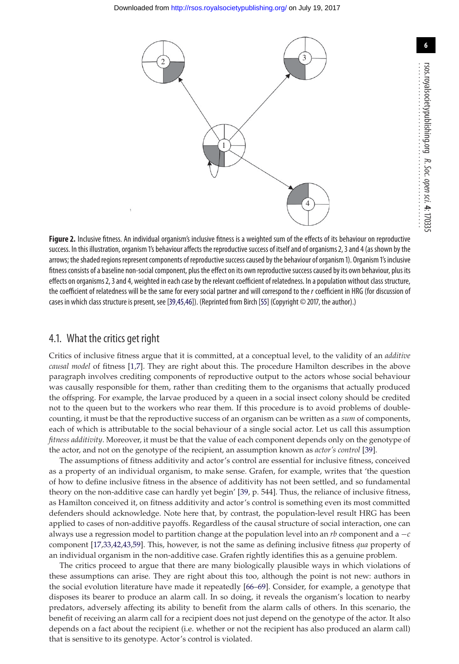<span id="page-6-0"></span>

**Figure 2.** Inclusive fitness. An individual organism's inclusive fitness is a weighted sum of the effects of its behaviour on reproductive success. In this illustration, organism 1's behaviour affects the reproductive success of itself and of organisms 2, 3 and 4 (as shown by the arrows; the shaded regions represent components of reproductive success caused by the behaviour of organism 1). Organism 1's inclusive fitness consists of a baseline non-social component, plus the effect on its own reproductive success caused by its own behaviour, plus its effects on organisms 2, 3 and 4, weighted in each case by the relevant coefficient of relatedness. In a population without class structure, the coefficient of relatedness will be the same for every social partner and will correspond to the  $r$  coefficient in HRG (for discussion of cases in which class structure is present, see [\[39,](#page-12-4)[45,](#page-12-15)[46\]](#page-12-9)). (Reprinted from Birch [\[55\]](#page-12-14) (Copyright © 2017, the author).)

#### 4.1. What the critics get right

Critics of inclusive fitness argue that it is committed, at a conceptual level, to the validity of an *additive causal model* of fitness [\[1](#page-11-0)[,7\]](#page-11-22). They are right about this. The procedure Hamilton describes in the above paragraph involves crediting components of reproductive output to the actors whose social behaviour was causally responsible for them, rather than crediting them to the organisms that actually produced the offspring. For example, the larvae produced by a queen in a social insect colony should be credited not to the queen but to the workers who rear them. If this procedure is to avoid problems of doublecounting, it must be that the reproductive success of an organism can be written as a *sum* of components, each of which is attributable to the social behaviour of a single social actor. Let us call this assumption *fitness additivity*. Moreover, it must be that the value of each component depends only on the genotype of the actor, and not on the genotype of the recipient, an assumption known as *actor's control* [\[39\]](#page-12-4).

The assumptions of fitness additivity and actor's control are essential for inclusive fitness, conceived as a property of an individual organism, to make sense. Grafen, for example, writes that 'the question of how to define inclusive fitness in the absence of additivity has not been settled, and so fundamental theory on the non-additive case can hardly yet begin' [\[39,](#page-12-4) p. 544]. Thus, the reliance of inclusive fitness, as Hamilton conceived it, on fitness additivity and actor's control is something even its most committed defenders should acknowledge. Note here that, by contrast, the population-level result HRG has been applied to cases of non-additive payoffs. Regardless of the causal structure of social interaction, one can always use a regression model to partition change at the population level into an *rb* component and a −*c* component [\[17](#page-11-7)[,33](#page-11-20)[,42,](#page-12-6)[43,](#page-12-7)[59\]](#page-12-25). This, however, is not the same as defining inclusive fitness *qua* property of an individual organism in the non-additive case. Grafen rightly identifies this as a genuine problem.

The critics proceed to argue that there are many biologically plausible ways in which violations of these assumptions can arise. They are right about this too, although the point is not new: authors in the social evolution literature have made it repeatedly [\[66](#page-12-26)[–69\]](#page-12-27). Consider, for example, a genotype that disposes its bearer to produce an alarm call. In so doing, it reveals the organism's location to nearby predators, adversely affecting its ability to benefit from the alarm calls of others. In this scenario, the benefit of receiving an alarm call for a recipient does not just depend on the genotype of the actor. It also depends on a fact about the recipient (i.e. whether or not the recipient has also produced an alarm call) that is sensitive to its genotype. Actor's control is violated.

**6**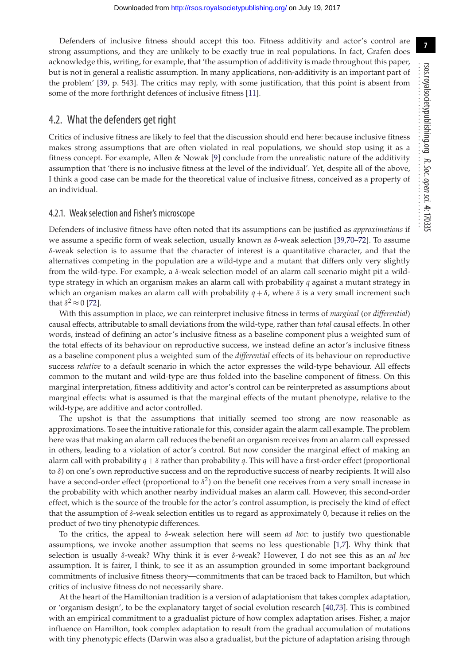Defenders of inclusive fitness should accept this too. Fitness additivity and actor's control are strong assumptions, and they are unlikely to be exactly true in real populations. In fact, Grafen does acknowledge this, writing, for example, that 'the assumption of additivity is made throughout this paper, but is not in general a realistic assumption. In many applications, non-additivity is an important part of the problem' [\[39,](#page-12-4) p. 543]. The critics may reply, with some justification, that this point is absent from some of the more forthright defences of inclusive fitness [\[11\]](#page-11-3).

#### 4.2. What the defenders get right

Critics of inclusive fitness are likely to feel that the discussion should end here: because inclusive fitness makes strong assumptions that are often violated in real populations, we should stop using it as a fitness concept. For example, Allen & Nowak [\[9\]](#page-11-25) conclude from the unrealistic nature of the additivity assumption that 'there is no inclusive fitness at the level of the individual'. Yet, despite all of the above, I think a good case can be made for the theoretical value of inclusive fitness, conceived as a property of an individual.

#### 4.2.1. Weak selection and Fisher's microscope

Defenders of inclusive fitness have often noted that its assumptions can be justified as *approximations* if we assume a specific form of weak selection, usually known as  $\delta$ -weak selection [\[39](#page-12-4)[,70–](#page-12-28)[72\]](#page-12-29). To assume  $\delta$ -weak selection is to assume that the character of interest is a quantitative character, and that the alternatives competing in the population are a wild-type and a mutant that differs only very slightly from the wild-type. For example, a δ-weak selection model of an alarm call scenario might pit a wildtype strategy in which an organism makes an alarm call with probability *q* against a mutant strategy in which an organism makes an alarm call with probability  $q + \delta$ , where  $\delta$  is a very small increment such that  $\delta^2 \approx 0$  [\[72\]](#page-12-29).

With this assumption in place, we can reinterpret inclusive fitness in terms of *marginal* (or *differential*) causal effects, attributable to small deviations from the wild-type, rather than *total* causal effects. In other words, instead of defining an actor's inclusive fitness as a baseline component plus a weighted sum of the total effects of its behaviour on reproductive success, we instead define an actor's inclusive fitness as a baseline component plus a weighted sum of the *differential* effects of its behaviour on reproductive success *relative* to a default scenario in which the actor expresses the wild-type behaviour. All effects common to the mutant and wild-type are thus folded into the baseline component of fitness. On this marginal interpretation, fitness additivity and actor's control can be reinterpreted as assumptions about marginal effects: what is assumed is that the marginal effects of the mutant phenotype, relative to the wild-type, are additive and actor controlled.

The upshot is that the assumptions that initially seemed too strong are now reasonable as approximations. To see the intuitive rationale for this, consider again the alarm call example. The problem here was that making an alarm call reduces the benefit an organism receives from an alarm call expressed in others, leading to a violation of actor's control. But now consider the marginal effect of making an alarm call with probability  $q + \delta$  rather than probability q. This will have a first-order effect (proportional to δ) on one's own reproductive success and on the reproductive success of nearby recipients. It will also have a second-order effect (proportional to  $\delta^2$ ) on the benefit one receives from a very small increase in the probability with which another nearby individual makes an alarm call. However, this second-order effect, which is the source of the trouble for the actor's control assumption, is precisely the kind of effect that the assumption of  $δ$ -weak selection entitles us to regard as approximately 0, because it relies on the product of two tiny phenotypic differences.

To the critics, the appeal to δ-weak selection here will seem *ad hoc*: to justify two questionable assumptions, we invoke another assumption that seems no less questionable [\[1,](#page-11-0)[7\]](#page-11-22). Why think that selection is usually δ-weak? Why think it is ever δ-weak? However, I do not see this as an *ad hoc* assumption. It is fairer, I think, to see it as an assumption grounded in some important background commitments of inclusive fitness theory—commitments that can be traced back to Hamilton, but which critics of inclusive fitness do not necessarily share.

At the heart of the Hamiltonian tradition is a version of adaptationism that takes complex adaptation, or 'organism design', to be the explanatory target of social evolution research [\[40,](#page-12-30)[73\]](#page-12-31). This is combined with an empirical commitment to a gradualist picture of how complex adaptation arises. Fisher, a major influence on Hamilton, took complex adaptation to result from the gradual accumulation of mutations with tiny phenotypic effects (Darwin was also a gradualist, but the picture of adaptation arising through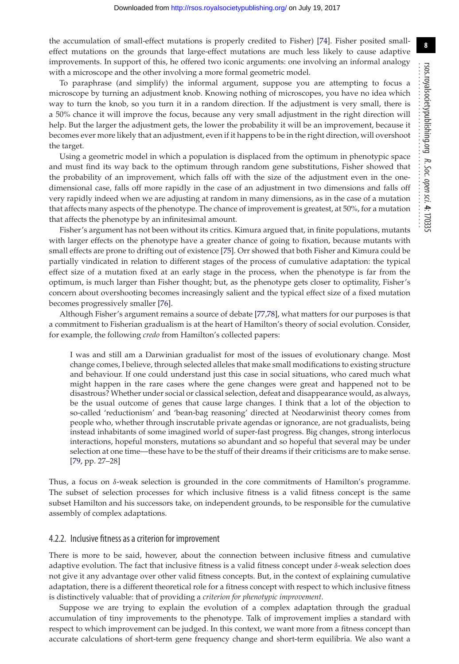the accumulation of small-effect mutations is properly credited to Fisher) [\[74\]](#page-12-32). Fisher posited smalleffect mutations on the grounds that large-effect mutations are much less likely to cause adaptive improvements. In support of this, he offered two iconic arguments: one involving an informal analogy with a microscope and the other involving a more formal geometric model.

To paraphrase (and simplify) the informal argument, suppose you are attempting to focus a microscope by turning an adjustment knob. Knowing nothing of microscopes, you have no idea which way to turn the knob, so you turn it in a random direction. If the adjustment is very small, there is a 50% chance it will improve the focus, because any very small adjustment in the right direction will help. But the larger the adjustment gets, the lower the probability it will be an improvement, because it becomes ever more likely that an adjustment, even if it happens to be in the right direction, will overshoot the target.

Using a geometric model in which a population is displaced from the optimum in phenotypic space and must find its way back to the optimum through random gene substitutions, Fisher showed that the probability of an improvement, which falls off with the size of the adjustment even in the onedimensional case, falls off more rapidly in the case of an adjustment in two dimensions and falls off very rapidly indeed when we are adjusting at random in many dimensions, as in the case of a mutation that affects many aspects of the phenotype. The chance of improvement is greatest, at 50%, for a mutation that affects the phenotype by an infinitesimal amount.

Fisher's argument has not been without its critics. Kimura argued that, in finite populations, mutants with larger effects on the phenotype have a greater chance of going to fixation, because mutants with small effects are prone to drifting out of existence [\[75\]](#page-12-33). Orr showed that both Fisher and Kimura could be partially vindicated in relation to different stages of the process of cumulative adaptation: the typical effect size of a mutation fixed at an early stage in the process, when the phenotype is far from the optimum, is much larger than Fisher thought; but, as the phenotype gets closer to optimality, Fisher's concern about overshooting becomes increasingly salient and the typical effect size of a fixed mutation becomes progressively smaller [\[76\]](#page-12-34).

Although Fisher's argument remains a source of debate [\[77,](#page-12-35)[78\]](#page-12-36), what matters for our purposes is that a commitment to Fisherian gradualism is at the heart of Hamilton's theory of social evolution. Consider, for example, the following *credo* from Hamilton's collected papers:

I was and still am a Darwinian gradualist for most of the issues of evolutionary change. Most change comes, I believe, through selected alleles that make small modifications to existing structure and behaviour. If one could understand just this case in social situations, who cared much what might happen in the rare cases where the gene changes were great and happened not to be disastrous? Whether under social or classical selection, defeat and disappearance would, as always, be the usual outcome of genes that cause large changes. I think that a lot of the objection to so-called 'reductionism' and 'bean-bag reasoning' directed at Neodarwinist theory comes from people who, whether through inscrutable private agendas or ignorance, are not gradualists, being instead inhabitants of some imagined world of super-fast progress. Big changes, strong interlocus interactions, hopeful monsters, mutations so abundant and so hopeful that several may be under selection at one time—these have to be the stuff of their dreams if their criticisms are to make sense. [\[79,](#page-12-37) pp. 27–28]

Thus, a focus on  $\delta$ -weak selection is grounded in the core commitments of Hamilton's programme. The subset of selection processes for which inclusive fitness is a valid fitness concept is the same subset Hamilton and his successors take, on independent grounds, to be responsible for the cumulative assembly of complex adaptations.

#### 4.2.2. Inclusive fitness as a criterion for improvement

There is more to be said, however, about the connection between inclusive fitness and cumulative adaptive evolution. The fact that inclusive fitness is a valid fitness concept under  $\delta$ -weak selection does not give it any advantage over other valid fitness concepts. But, in the context of explaining cumulative adaptation, there is a different theoretical role for a fitness concept with respect to which inclusive fitness is distinctively valuable: that of providing a *criterion for phenotypic improvement*.

Suppose we are trying to explain the evolution of a complex adaptation through the gradual accumulation of tiny improvements to the phenotype. Talk of improvement implies a standard with respect to which improvement can be judged. In this context, we want more from a fitness concept than accurate calculations of short-term gene frequency change and short-term equilibria. We also want a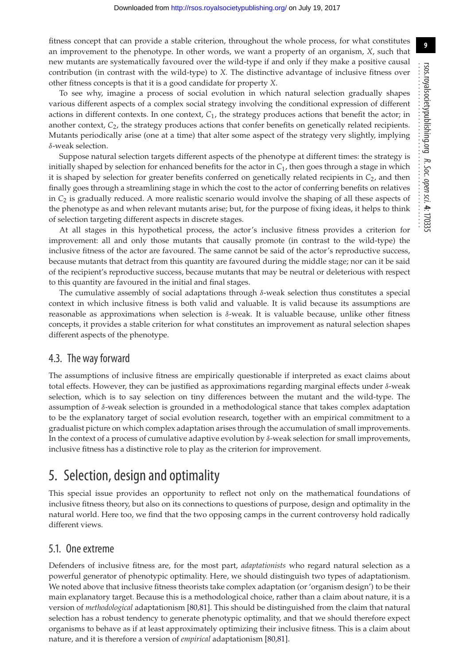fitness concept that can provide a stable criterion, throughout the whole process, for what constitutes an improvement to the phenotype. In other words, we want a property of an organism, *X*, such that new mutants are systematically favoured over the wild-type if and only if they make a positive causal contribution (in contrast with the wild-type) to *X.* The distinctive advantage of inclusive fitness over other fitness concepts is that it is a good candidate for property *X*.

To see why, imagine a process of social evolution in which natural selection gradually shapes various different aspects of a complex social strategy involving the conditional expression of different actions in different contexts. In one context, *C*1, the strategy produces actions that benefit the actor; in another context,  $C_2$ , the strategy produces actions that confer benefits on genetically related recipients. Mutants periodically arise (one at a time) that alter some aspect of the strategy very slightly, implying δ-weak selection.

Suppose natural selection targets different aspects of the phenotype at different times: the strategy is initially shaped by selection for enhanced benefits for the actor in  $C_1$ , then goes through a stage in which it is shaped by selection for greater benefits conferred on genetically related recipients in *C*2, and then finally goes through a streamlining stage in which the cost to the actor of conferring benefits on relatives in *C*<sup>2</sup> is gradually reduced. A more realistic scenario would involve the shaping of all these aspects of the phenotype as and when relevant mutants arise; but, for the purpose of fixing ideas, it helps to think of selection targeting different aspects in discrete stages.

At all stages in this hypothetical process, the actor's inclusive fitness provides a criterion for improvement: all and only those mutants that causally promote (in contrast to the wild-type) the inclusive fitness of the actor are favoured. The same cannot be said of the actor's reproductive success, because mutants that detract from this quantity are favoured during the middle stage; nor can it be said of the recipient's reproductive success, because mutants that may be neutral or deleterious with respect to this quantity are favoured in the initial and final stages.

The cumulative assembly of social adaptations through δ-weak selection thus constitutes a special context in which inclusive fitness is both valid and valuable. It is valid because its assumptions are reasonable as approximations when selection is δ-weak. It is valuable because, unlike other fitness concepts, it provides a stable criterion for what constitutes an improvement as natural selection shapes different aspects of the phenotype.

#### 4.3. The way forward

The assumptions of inclusive fitness are empirically questionable if interpreted as exact claims about total effects. However, they can be justified as approximations regarding marginal effects under δ-weak selection, which is to say selection on tiny differences between the mutant and the wild-type. The assumption of δ-weak selection is grounded in a methodological stance that takes complex adaptation to be the explanatory target of social evolution research, together with an empirical commitment to a gradualist picture on which complex adaptation arises through the accumulation of small improvements. In the context of a process of cumulative adaptive evolution by δ-weak selection for small improvements, inclusive fitness has a distinctive role to play as the criterion for improvement.

## 5. Selection, design and optimality

This special issue provides an opportunity to reflect not only on the mathematical foundations of inclusive fitness theory, but also on its connections to questions of purpose, design and optimality in the natural world. Here too, we find that the two opposing camps in the current controversy hold radically different views.

#### 5.1. One extreme

Defenders of inclusive fitness are, for the most part, *adaptationists* who regard natural selection as a powerful generator of phenotypic optimality. Here, we should distinguish two types of adaptationism. We noted above that inclusive fitness theorists take complex adaptation (or 'organism design') to be their main explanatory target. Because this is a methodological choice, rather than a claim about nature, it is a version of *methodological* adaptationism [\[80,](#page-12-38)[81\]](#page-12-39). This should be distinguished from the claim that natural selection has a robust tendency to generate phenotypic optimality, and that we should therefore expect organisms to behave as if at least approximately optimizing their inclusive fitness. This is a claim about nature, and it is therefore a version of *empirical* adaptationism [\[80](#page-12-38)[,81\]](#page-12-39).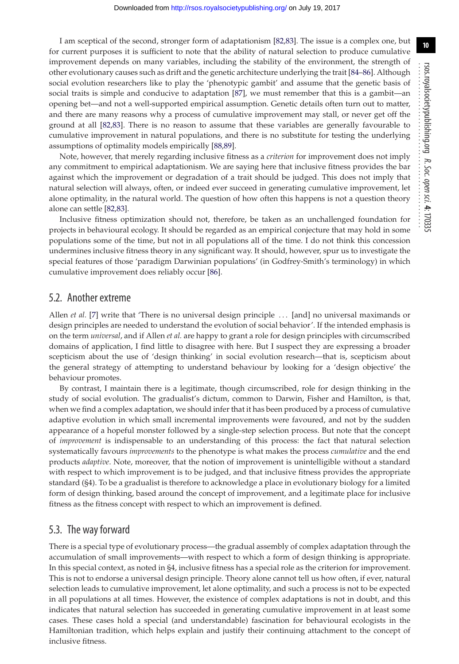I am sceptical of the second, stronger form of adaptationism [\[82,](#page-12-40)[83\]](#page-12-41). The issue is a complex one, but for current purposes it is sufficient to note that the ability of natural selection to produce cumulative improvement depends on many variables, including the stability of the environment, the strength of other evolutionary causes such as drift and the genetic architecture underlying the trait [\[84–](#page-12-42)[86\]](#page-12-43). Although social evolution researchers like to play the 'phenotypic gambit' and assume that the genetic basis of social traits is simple and conducive to adaptation [\[87\]](#page-12-44), we must remember that this is a gambit—an opening bet—and not a well-supported empirical assumption. Genetic details often turn out to matter, and there are many reasons why a process of cumulative improvement may stall, or never get off the ground at all [\[82,](#page-12-40)[83\]](#page-12-41). There is no reason to assume that these variables are generally favourable to cumulative improvement in natural populations, and there is no substitute for testing the underlying assumptions of optimality models empirically [\[88](#page-12-45)[,89\]](#page-12-46).

Note, however, that merely regarding inclusive fitness as a *criterion* for improvement does not imply any commitment to empirical adaptationism. We are saying here that inclusive fitness provides the bar against which the improvement or degradation of a trait should be judged. This does not imply that natural selection will always, often, or indeed ever succeed in generating cumulative improvement, let alone optimality, in the natural world. The question of how often this happens is not a question theory alone can settle [\[82,](#page-12-40)[83\]](#page-12-41).

Inclusive fitness optimization should not, therefore, be taken as an unchallenged foundation for projects in behavioural ecology. It should be regarded as an empirical conjecture that may hold in some populations some of the time, but not in all populations all of the time. I do not think this concession undermines inclusive fitness theory in any significant way. It should, however, spur us to investigate the special features of those 'paradigm Darwinian populations' (in Godfrey-Smith's terminology) in which cumulative improvement does reliably occur [\[86\]](#page-12-43).

#### 5.2. Another extreme

Allen *et al.* [\[7\]](#page-11-22) write that 'There is no universal design principle ... [and] no universal maximands or design principles are needed to understand the evolution of social behavior'. If the intended emphasis is on the term *universal*, and if Allen *et al.* are happy to grant a role for design principles with circumscribed domains of application, I find little to disagree with here. But I suspect they are expressing a broader scepticism about the use of 'design thinking' in social evolution research—that is, scepticism about the general strategy of attempting to understand behaviour by looking for a 'design objective' the behaviour promotes.

By contrast, I maintain there is a legitimate, though circumscribed, role for design thinking in the study of social evolution. The gradualist's dictum, common to Darwin, Fisher and Hamilton, is that, when we find a complex adaptation, we should infer that it has been produced by a process of cumulative adaptive evolution in which small incremental improvements were favoured, and not by the sudden appearance of a hopeful monster followed by a single-step selection process. But note that the concept of *improvement* is indispensable to an understanding of this process: the fact that natural selection systematically favours *improvements* to the phenotype is what makes the process *cumulative* and the end products *adaptive*. Note, moreover, that the notion of improvement is unintelligible without a standard with respect to which improvement is to be judged, and that inclusive fitness provides the appropriate standard (§4). To be a gradualist is therefore to acknowledge a place in evolutionary biology for a limited form of design thinking, based around the concept of improvement, and a legitimate place for inclusive fitness as the fitness concept with respect to which an improvement is defined.

#### 5.3. The way forward

There is a special type of evolutionary process—the gradual assembly of complex adaptation through the accumulation of small improvements—with respect to which a form of design thinking is appropriate. In this special context, as noted in §4, inclusive fitness has a special role as the criterion for improvement. This is not to endorse a universal design principle. Theory alone cannot tell us how often, if ever, natural selection leads to cumulative improvement, let alone optimality, and such a process is not to be expected in all populations at all times. However, the existence of complex adaptations is not in doubt, and this indicates that natural selection has succeeded in generating cumulative improvement in at least some cases. These cases hold a special (and understandable) fascination for behavioural ecologists in the Hamiltonian tradition, which helps explain and justify their continuing attachment to the concept of inclusive fitness.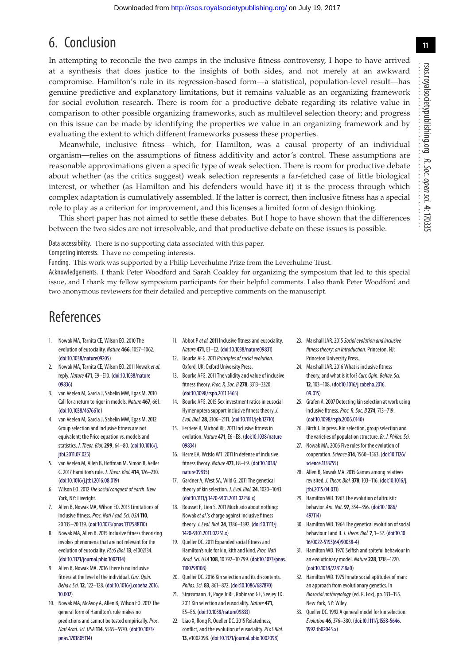## 6. Conclusion

In attempting to reconcile the two camps in the inclusive fitness controversy, I hope to have arrived at a synthesis that does justice to the insights of both sides, and not merely at an awkward compromise. Hamilton's rule in its regression-based form—a statistical, population-level result—has genuine predictive and explanatory limitations, but it remains valuable as an organizing framework for social evolution research. There is room for a productive debate regarding its relative value in comparison to other possible organizing frameworks, such as multilevel selection theory; and progress on this issue can be made by identifying the properties we value in an organizing framework and by evaluating the extent to which different frameworks possess these properties.

Meanwhile, inclusive fitness—which, for Hamilton, was a causal property of an individual organism—relies on the assumptions of fitness additivity and actor's control. These assumptions are reasonable approximations given a specific type of weak selection. There is room for productive debate about whether (as the critics suggest) weak selection represents a far-fetched case of little biological interest, or whether (as Hamilton and his defenders would have it) it is the process through which complex adaptation is cumulatively assembled. If the latter is correct, then inclusive fitness has a special role to play as a criterion for improvement, and this licenses a limited form of design thinking.

This short paper has not aimed to settle these debates. But I hope to have shown that the differences between the two sides are not irresolvable, and that productive debate on these issues is possible.

Data accessibility. There is no supporting data associated with this paper.

Competing interests. I have no competing interests.

Funding. This work was supported by a Philip Leverhulme Prize from the Leverhulme Trust.

Acknowledgements. I thank Peter Woodford and Sarah Coakley for organizing the symposium that led to this special issue, and I thank my fellow symposium participants for their helpful comments. I also thank Peter Woodford and two anonymous reviewers for their detailed and perceptive comments on the manuscript.

## References

- <span id="page-11-0"></span>1. Nowak MA, Tarnita CE, Wilson EO. 2010 The evolution of eusociality. Nature **466**, 1057–1062. [\(doi:10.1038/nature09205\)](http://dx.doi.org/10.1038/nature09205)
- <span id="page-11-1"></span>2. Nowak MA, Tarnita CE, Wilson EO. 2011 Nowak et al. reply. Nature **471**, E9–E10. [\(doi:10.1038/nature](http://dx.doi.org/10.1038/nature09836) [09836\)](http://dx.doi.org/10.1038/nature09836)
- 3. van Veelen M, Garcia J, Sabelin MW, Egas M. 2010 Call for a return to rigor in models. Nature **467**, 661. [\(doi:10.1038/467661d\)](http://dx.doi.org/10.1038/467661d)
- <span id="page-11-23"></span>4. van Veelen M, Garcia J, Sabelin MW, Egas M. 2012 Group selection and inclusive fitness are not equivalent; the Price equation vs. models and statistics. J. Theor. Biol.**299**, 64–80. [\(doi:10.1016/j.](http://dx.doi.org/10.1016/j.jtbi.2011.07.025) [jtbi.2011.07.025\)](http://dx.doi.org/10.1016/j.jtbi.2011.07.025)
- 5. van Veelen M, Allen B, Hoffman M, Simon B, Veller C. 2017 Hamilton's rule. J. Theor. Biol. **414**, 176–230. [\(doi:10.1016/j.jtbi.2016.08.019\)](http://dx.doi.org/10.1016/j.jtbi.2016.08.019)
- 6. Wilson EO. 2012 The social conquest of earth. New York, NY: Liveright.
- <span id="page-11-22"></span>7. Allen B, Nowak MA, Wilson EO. 2013 Limitations of inclusive fitness.Proc. Natl Acad. Sci. USA **110**, 20 135–20 139. [\(doi:10.1073/pnas.1317588110\)](http://dx.doi.org/10.1073/pnas.1317588110)
- <span id="page-11-15"></span>8. Nowak MA, Allen B. 2015 Inclusive fitness theorizing invokes phenomena that are not relevant for the evolution of eusociality.PLoS Biol.**13**, e1002134. [\(doi:10.1371/journal.pbio.1002134\)](http://dx.doi.org/10.1371/journal.pbio.1002134)
- <span id="page-11-25"></span>9. Allen B, Nowak MA. 2016 There is no inclusive fitness at the level of the individual. Curr. Opin. Behav. Sci.**12**, 122–128. [\(doi:10.1016/j.cobeha.2016.](http://dx.doi.org/10.1016/j.cobeha.2016.10.002) [10.002\)](http://dx.doi.org/10.1016/j.cobeha.2016.10.002)
- <span id="page-11-2"></span>10. Nowak MA, McAvoy A, Allen B, Wilson EO. 2017 The general form of Hamilton's rule makes no predictions and cannot be tested empirically. Proc. Natl Acad. Sci. USA **114**, 5565–5570. [\(doi:10.1073/](http://dx.doi.org/10.1073/pnas.1701805114) [pnas.1701805114\)](http://dx.doi.org/10.1073/pnas.1701805114)
- <span id="page-11-3"></span>11. Abbot P et al. 2011 Inclusive fitness and eusociality. Nature **471**, E1–E2. [\(doi:10.1038/nature09831\)](http://dx.doi.org/10.1038/nature09831)
- <span id="page-11-10"></span>12. Bourke AFG. 2011 Principles of social evolution. Oxford, UK: Oxford University Press.
- <span id="page-11-11"></span>13. Bourke AFG. 2011 The validity and value of inclusive fitness theory.Proc. R. Soc. B **278**, 3313–3320. [\(doi:10.1098/rspb.2011.1465\)](http://dx.doi.org/10.1098/rspb.2011.1465)
- <span id="page-11-16"></span>14. Bourke AFG. 2015 Sex investment ratios in eusocial Hymenoptera support inclusive fitness theory. J. Evol. Biol.**28**, 2106–2111. [\(doi:10.1111/jeb.12710\)](http://dx.doi.org/10.1111/jeb.12710)
- 15. Ferriere R, Michod RE. 2011 Inclusive fitness in evolution. Nature **471**, E6–E8. [\(doi:10.1038/nature](http://dx.doi.org/10.1038/nature09834) [09834\)](http://dx.doi.org/10.1038/nature09834)
- 16. Herre EA, Wcislo WT. 2011 In defense of inclusive fitness theory. Nature **471**, E8–E9. [\(doi:10.1038/](http://dx.doi.org/10.1038/nature09835) [nature09835\)](http://dx.doi.org/10.1038/nature09835)
- <span id="page-11-7"></span>17. Gardner A, West SA, Wild G. 2011 The genetical theory of kin selection. J. Evol. Biol.**24**, 1020–1043. [\(doi:10.1111/j.1420-9101.2011.02236.x\)](http://dx.doi.org/10.1111/j.1420-9101.2011.02236.x)
- 18. Rousset F, Lion S. 2011 Much ado about nothing: Nowaket al.'s charge against inclusive fitness theory. J. Evol. Biol.**24**, 1386–1392. [\(doi:10.1111/j.](http://dx.doi.org/10.1111/j.1420-9101.2011.02251.x) [1420-9101.2011.02251.x\)](http://dx.doi.org/10.1111/j.1420-9101.2011.02251.x)
- <span id="page-11-24"></span>19. Queller DC. 2011 Expanded social fitness and Hamilton's rule for kin, kith and kind. Proc. Natl Acad. Sci. USA **108**, 10 792–10 799. [\(doi:10.1073/pnas.](http://dx.doi.org/10.1073/pnas.1100298108) [1100298108\)](http://dx.doi.org/10.1073/pnas.1100298108)
- <span id="page-11-12"></span>20. Queller DC. 2016 Kin selection and its discontents. Philos. Sci. **83**, 861–872. [\(doi:10.1086/687870\)](http://dx.doi.org/10.1086/687870)
- <span id="page-11-5"></span>21. Strassmann JE, Page Jr RE, Robinson GE, Seeley TD. 2011 Kin selection and eusociality. Nature **471**, E5–E6. [\(doi:10.1038/nature09833\)](http://dx.doi.org/10.1038/nature09833)
- <span id="page-11-17"></span>22. Liao X, Rong R, Queller DC. 2015 Relatedness, conflict, and the evolution of eusociality. PLoS Biol. **13**, e1002098. [\(doi:10.1371/journal.pbio.1002098\)](http://dx.doi.org/10.1371/journal.pbio.1002098)
- <span id="page-11-8"></span>23. Marshall JAR. 2015 Social evolution and inclusive fitness theory: an introduction. Princeton, NJ: Princeton University Press.
- <span id="page-11-4"></span>24. Marshall JAR. 2016 What is inclusive fitness theory, and what is it for? Curr. Opin. Behav. Sci. **12**, 103–108. [\(doi:10.1016/j.cobeha.2016.](http://dx.doi.org/10.1016/j.cobeha.2016.09.015) [09.015\)](http://dx.doi.org/10.1016/j.cobeha.2016.09.015)
- <span id="page-11-6"></span>25. Grafen A. 2007 Detecting kin selection at work using inclusive fitness.Proc. R. Soc. B **274**, 713–719. [\(doi:10.1098/rspb.2006.0140\)](http://dx.doi.org/10.1098/rspb.2006.0140)
- <span id="page-11-9"></span>26. Birch J. In press. Kin selection, group selection and the varieties of population structure. Br. J. Philos. Sci.
- <span id="page-11-13"></span>27. Nowak MA. 2006 Five rules for the evolution of cooperation.Science**314**, 1560–1563. [\(doi:10.1126/](http://dx.doi.org/10.1126/science.1133755) [science.1133755\)](http://dx.doi.org/10.1126/science.1133755)
- <span id="page-11-14"></span>28. Allen B, Nowak MA. 2015 Games among relatives revisited. J. Theor. Biol.**378**, 103–116. [\(doi:10.1016/j.](http://dx.doi.org/10.1016/j.jtbi.2015.04.031) ithi.2015.04.031)
- <span id="page-11-18"></span>29. Hamilton WD. 1963 The evolution of altruistic behavior. Am. Nat. **97**, 354–356. [\(doi:10.1086/](http://dx.doi.org/10.1086/497114) [497114\)](http://dx.doi.org/10.1086/497114)
- <span id="page-11-21"></span>30. Hamilton WD. 1964 The genetical evolution of social behaviour I and II. J. Theor. Biol.**7**, 1–52. [\(doi:10.10](http://dx.doi.org/10.1016/0022-5193(64)90038-4) [16/0022-5193\(64\)90038-4\)](http://dx.doi.org/10.1016/0022-5193(64)90038-4)
- 31. Hamilton WD. 1970 Selfish and spiteful behaviour in an evolutionary model. Nature**228**, 1218–1220. [\(doi:10.1038/2281218a0\)](http://dx.doi.org/10.1038/2281218a0)
- <span id="page-11-19"></span>32. Hamilton WD. 1975 Innate social aptitudes of man: an approach from evolutionary genetics. In Biosocial anthropology (ed. R. Fox), pp. 133–155. New York, NY: Wiley.
- <span id="page-11-20"></span>33. Queller DC. 1992 A general model for kin selection. Evolution **46**, 376–380. [\(doi:10.1111/j.1558-5646.](http://dx.doi.org/10.1111/j.1558-5646.1992.tb02045.x) [1992.tb02045.x\)](http://dx.doi.org/10.1111/j.1558-5646.1992.tb02045.x)